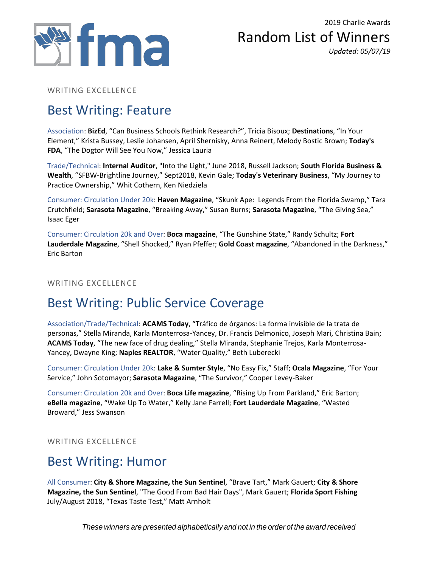

Random List of Winners *Updated: 05/07/19*

WRITING EXCELLENCE

# Best Writing: Feature

Association: **BizEd**, "Can Business Schools Rethink Research?", Tricia Bisoux; **Destinations**, "In Your Element," Krista Bussey, Leslie Johansen, April Shernisky, Anna Reinert, Melody Bostic Brown; **Today's FDA**, "The Dogtor Will See You Now," Jessica Lauria

Trade/Technical: **Internal Auditor**, "Into the Light," June 2018, Russell Jackson; **South Florida Business & Wealth**, "SFBW-Brightline Journey," Sept2018, Kevin Gale; **Today's Veterinary Business**, "My Journey to Practice Ownership," Whit Cothern, Ken Niedziela

Consumer: Circulation Under 20k: **Haven Magazine**, "Skunk Ape: Legends From the Florida Swamp," Tara Crutchfield; **Sarasota Magazine**, "Breaking Away," Susan Burns; **Sarasota Magazine**, "The Giving Sea," Isaac Eger

Consumer: Circulation 20k and Over: **Boca magazine**, "The Gunshine State," Randy Schultz; **Fort Lauderdale Magazine**, "Shell Shocked," Ryan Pfeffer; **Gold Coast magazine**, "Abandoned in the Darkness," Eric Barton

#### WRITING EXCELLENCE

# Best Writing: Public Service Coverage

Association/Trade/Technical: **ACAMS Today**, "Tráfico de órganos: La forma invisible de la trata de personas," Stella Miranda, Karla Monterrosa-Yancey, Dr. Francis Delmonico, Joseph Mari, Christina Bain; **ACAMS Today**, "The new face of drug dealing," Stella Miranda, Stephanie Trejos, Karla Monterrosa-Yancey, Dwayne King; **Naples REALTOR**, "Water Quality," Beth Luberecki

Consumer: Circulation Under 20k: **Lake & Sumter Style**, "No Easy Fix," Staff; **Ocala Magazine**, "For Your Service," John Sotomayor; **Sarasota Magazine**, "The Survivor," Cooper Levey-Baker

Consumer: Circulation 20k and Over: **Boca Life magazine**, "Rising Up From Parkland," Eric Barton; **eBella magazine**, "Wake Up To Water," Kelly Jane Farrell; **Fort Lauderdale Magazine**, "Wasted Broward," Jess Swanson

WRITING EXCELLENCE

### Best Writing: Humor

All Consumer: **City & Shore Magazine, the Sun Sentinel**, "Brave Tart," Mark Gauert; **City & Shore Magazine, the Sun Sentinel**, "The Good From Bad Hair Days", Mark Gauert; **Florida Sport Fishing**  July/August 2018, "Texas Taste Test," Matt Arnholt

*These winners are presented alphabetically and not in the order of the award received*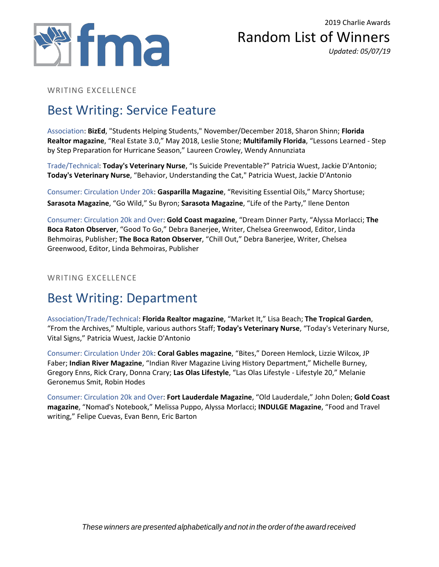

#### Random List of Winners *Updated: 05/07/19*

WRITING EXCELLENCE

# Best Writing: Service Feature

Association: **BizEd**, "Students Helping Students," November/December 2018, Sharon Shinn; **Florida Realtor magazine**, "Real Estate 3.0," May 2018, Leslie Stone; **Multifamily Florida**, "Lessons Learned - Step by Step Preparation for Hurricane Season," Laureen Crowley, Wendy Annunziata

Trade/Technical: **Today's Veterinary Nurse**, "Is Suicide Preventable?" Patricia Wuest, Jackie D'Antonio; **Today's Veterinary Nurse**, "Behavior, Understanding the Cat," Patricia Wuest, Jackie D'Antonio

Consumer: Circulation Under 20k: **Gasparilla Magazine**, "Revisiting Essential Oils," Marcy Shortuse; **Sarasota Magazine**, "Go Wild," Su Byron; **Sarasota Magazine**, "Life of the Party," Ilene Denton

Consumer: Circulation 20k and Over: **Gold Coast magazine**, "Dream Dinner Party, "Alyssa Morlacci; **The Boca Raton Observer**, "Good To Go," Debra Banerjee, Writer, Chelsea Greenwood, Editor, Linda Behmoiras, Publisher; **The Boca Raton Observer**, "Chill Out," Debra Banerjee, Writer, Chelsea Greenwood, Editor, Linda Behmoiras, Publisher

WRITING EXCELLENCE

# Best Writing: Department

Association/Trade/Technical: **Florida Realtor magazine**, "Market It," Lisa Beach; **The Tropical Garden**, "From the Archives," Multiple, various authors Staff; **Today's Veterinary Nurse**, "Today's Veterinary Nurse, Vital Signs," Patricia Wuest, Jackie D'Antonio

Consumer: Circulation Under 20k: **Coral Gables magazine**, "Bites," Doreen Hemlock, Lizzie Wilcox, JP Faber; **Indian River Magazine**, "Indian River Magazine Living History Department," Michelle Burney, Gregory Enns, Rick Crary, Donna Crary; **Las Olas Lifestyle**, "Las Olas Lifestyle - Lifestyle 20," Melanie Geronemus Smit, Robin Hodes

Consumer: Circulation 20k and Over: **Fort Lauderdale Magazine**, "Old Lauderdale," John Dolen; **Gold Coast magazine**, "Nomad's Notebook," Melissa Puppo, Alyssa Morlacci; **INDULGE Magazine**, "Food and Travel writing," Felipe Cuevas, Evan Benn, Eric Barton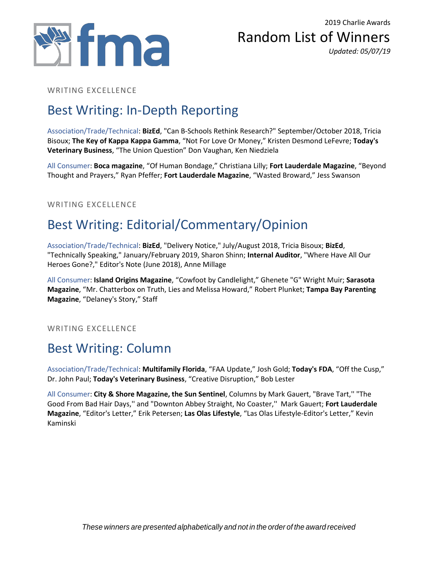



#### WRITING EXCELLENCE

# Best Writing: In-Depth Reporting

Association/Trade/Technical: **BizEd**, "Can B-Schools Rethink Research?" September/October 2018, Tricia Bisoux; **The Key of Kappa Kappa Gamma**, "Not For Love Or Money," Kristen Desmond LeFevre; **Today's Veterinary Business**, "The Union Question" Don Vaughan, Ken Niedziela

All Consumer: **Boca magazine**, "Of Human Bondage," Christiana Lilly; **Fort Lauderdale Magazine**, "Beyond Thought and Prayers," Ryan Pfeffer; **Fort Lauderdale Magazine**, "Wasted Broward," Jess Swanson

#### WRITING EXCELLENCE

# Best Writing: Editorial/Commentary/Opinion

Association/Trade/Technical: **BizEd**, "Delivery Notice," July/August 2018, Tricia Bisoux; **BizEd**, "Technically Speaking," January/February 2019, Sharon Shinn; **Internal Auditor**, "Where Have All Our Heroes Gone?," Editor's Note (June 2018), Anne Millage

All Consumer: **Island Origins Magazine**, "Cowfoot by Candlelight," Ghenete "G" Wright Muir; **Sarasota Magazine**, "Mr. Chatterbox on Truth, Lies and Melissa Howard," Robert Plunket; **Tampa Bay Parenting Magazine**, "Delaney's Story," Staff

WRITING EXCELLENCE

# Best Writing: Column

Association/Trade/Technical: **Multifamily Florida**, "FAA Update," Josh Gold; **Today's FDA**, "Off the Cusp," Dr. John Paul; **Today's Veterinary Business**, "Creative Disruption," Bob Lester

All Consumer: **City & Shore Magazine, the Sun Sentinel**, Columns by Mark Gauert, "Brave Tart,'' "The Good From Bad Hair Days,'' and "Downton Abbey Straight, No Coaster,'' Mark Gauert; **Fort Lauderdale Magazine**, "Editor's Letter," Erik Petersen; **Las Olas Lifestyle**, "Las Olas Lifestyle-Editor's Letter," Kevin Kaminski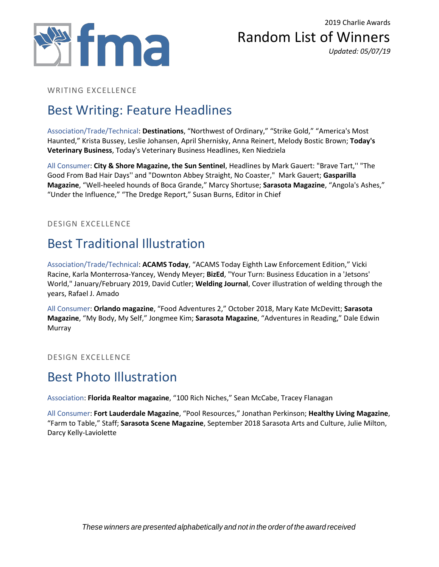



WRITING EXCELLENCE

# Best Writing: Feature Headlines

Association/Trade/Technical: **Destinations**, "Northwest of Ordinary," "Strike Gold," "America's Most Haunted," Krista Bussey, Leslie Johansen, April Shernisky, Anna Reinert, Melody Bostic Brown; **Today's Veterinary Business**, Today's Veterinary Business Headlines, Ken Niedziela

All Consumer: **City & Shore Magazine, the Sun Sentinel**, Headlines by Mark Gauert: "Brave Tart,'' "The Good From Bad Hair Days'' and "Downton Abbey Straight, No Coaster," Mark Gauert; **Gasparilla Magazine**, "Well-heeled hounds of Boca Grande," Marcy Shortuse; **Sarasota Magazine**, "Angola's Ashes," "Under the Influence," "The Dredge Report," Susan Burns, Editor in Chief

DESIGN EXCELLENCE

# Best Traditional Illustration

Association/Trade/Technical: **ACAMS Today**, "ACAMS Today Eighth Law Enforcement Edition," Vicki Racine, Karla Monterrosa-Yancey, Wendy Meyer; **BizEd**, "Your Turn: Business Education in a 'Jetsons' World," January/February 2019, David Cutler; **Welding Journal**, Cover illustration of welding through the years, Rafael J. Amado

All Consumer: **Orlando magazine**, "Food Adventures 2," October 2018, Mary Kate McDevitt; **Sarasota Magazine**, "My Body, My Self," Jongmee Kim; **Sarasota Magazine**, "Adventures in Reading," Dale Edwin Murray

DESIGN EXCELLENCE

#### Best Photo Illustration

Association: **Florida Realtor magazine**, "100 Rich Niches," Sean McCabe, Tracey Flanagan

All Consumer: **Fort Lauderdale Magazine**, "Pool Resources," Jonathan Perkinson; **Healthy Living Magazine**, "Farm to Table," Staff; **Sarasota Scene Magazine**, September 2018 Sarasota Arts and Culture, Julie Milton, Darcy Kelly-Laviolette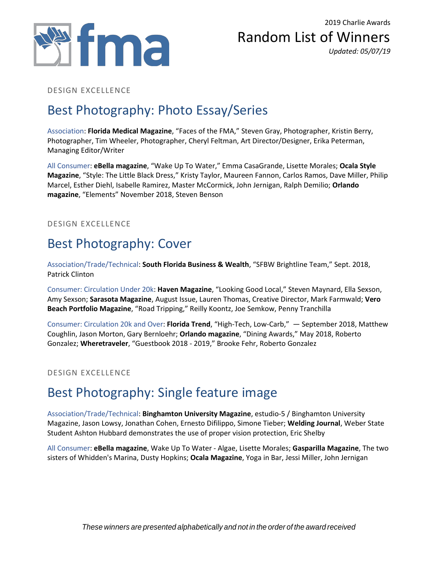



#### DESIGN EXCELLENCE

### Best Photography: Photo Essay/Series

Association: **Florida Medical Magazine**, "Faces of the FMA," Steven Gray, Photographer, Kristin Berry, Photographer, Tim Wheeler, Photographer, Cheryl Feltman, Art Director/Designer, Erika Peterman, Managing Editor/Writer

All Consumer: **eBella magazine**, "Wake Up To Water," Emma CasaGrande, Lisette Morales; **Ocala Style Magazine**, "Style: The Little Black Dress," Kristy Taylor, Maureen Fannon, Carlos Ramos, Dave Miller, Philip Marcel, Esther Diehl, Isabelle Ramirez, Master McCormick, John Jernigan, Ralph Demilio; **Orlando magazine**, "Elements" November 2018, Steven Benson

DESIGN EXCELLENCE

### Best Photography: Cover

Association/Trade/Technical: **South Florida Business & Wealth**, "SFBW Brightline Team," Sept. 2018, Patrick Clinton

Consumer: Circulation Under 20k: **Haven Magazine**, "Looking Good Local," Steven Maynard, Ella Sexson, Amy Sexson; **Sarasota Magazine**, August Issue, Lauren Thomas, Creative Director, Mark Farmwald; **Vero Beach Portfolio Magazine**, "Road Tripping," Reilly Koontz, Joe Semkow, Penny Tranchilla

Consumer: Circulation 20k and Over: **Florida Trend**, "High-Tech, Low-Carb," — September 2018, Matthew Coughlin, Jason Morton, Gary Bernloehr; **Orlando magazine**, "Dining Awards," May 2018, Roberto Gonzalez; **Wheretraveler**, "Guestbook 2018 - 2019," Brooke Fehr, Roberto Gonzalez

#### DESIGN EXCELLENCE

#### Best Photography: Single feature image

Association/Trade/Technical: **Binghamton University Magazine**, estudio-5 / Binghamton University Magazine, Jason Lowsy, Jonathan Cohen, Ernesto Difilippo, Simone Tieber; **Welding Journal**, Weber State Student Ashton Hubbard demonstrates the use of proper vision protection, Eric Shelby

All Consumer: **eBella magazine**, Wake Up To Water - Algae, Lisette Morales; **Gasparilla Magazine**, The two sisters of Whidden's Marina, Dusty Hopkins; **Ocala Magazine**, Yoga in Bar, Jessi Miller, John Jernigan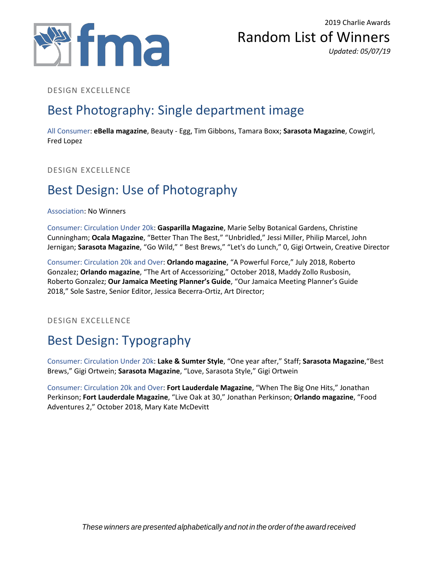



#### DESIGN EXCELLENCE

### Best Photography: Single department image

All Consumer: **eBella magazine**, Beauty - Egg, Tim Gibbons, Tamara Boxx; **Sarasota Magazine**, Cowgirl, Fred Lopez

DESIGN EXCELLENCE

### Best Design: Use of Photography

#### Association: No Winners

Consumer: Circulation Under 20k: **Gasparilla Magazine**, Marie Selby Botanical Gardens, Christine Cunningham; **Ocala Magazine**, "Better Than The Best," "Unbridled," Jessi Miller, Philip Marcel, John Jernigan; **Sarasota Magazine**, "Go Wild," " Best Brews," "Let's do Lunch," 0, Gigi Ortwein, Creative Director

Consumer: Circulation 20k and Over: **Orlando magazine**, "A Powerful Force," July 2018, Roberto Gonzalez; **Orlando magazine**, "The Art of Accessorizing," October 2018, Maddy Zollo Rusbosin, Roberto Gonzalez; **Our Jamaica Meeting Planner's Guide**, "Our Jamaica Meeting Planner's Guide 2018," Sole Sastre, Senior Editor, Jessica Becerra-Ortiz, Art Director;

DESIGN EXCELLENCE

# Best Design: Typography

Consumer: Circulation Under 20k: **Lake & Sumter Style**, "One year after," Staff; **Sarasota Magazine**,"Best Brews," Gigi Ortwein; **Sarasota Magazine**, "Love, Sarasota Style," Gigi Ortwein

Consumer: Circulation 20k and Over: **Fort Lauderdale Magazine**, "When The Big One Hits," Jonathan Perkinson; **Fort Lauderdale Magazine**, "Live Oak at 30," Jonathan Perkinson; **Orlando magazine**, "Food Adventures 2," October 2018, Mary Kate McDevitt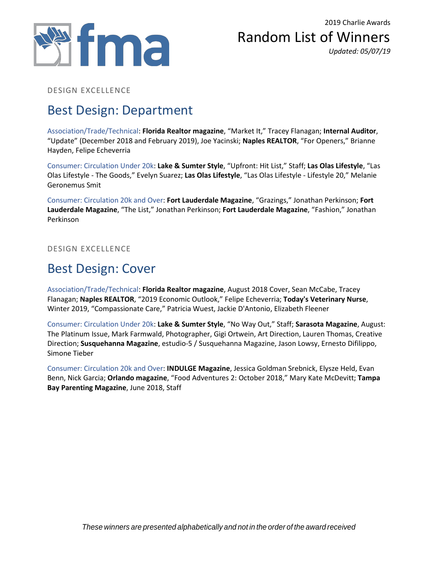

Random List of Winners *Updated: 05/07/19*

DESIGN EXCELLENCE

# Best Design: Department

Association/Trade/Technical: **Florida Realtor magazine**, "Market It," Tracey Flanagan; **Internal Auditor**, "Update" (December 2018 and February 2019), Joe Yacinski; **Naples REALTOR**, "For Openers," Brianne Hayden, Felipe Echeverria

Consumer: Circulation Under 20k: **Lake & Sumter Style**, "Upfront: Hit List," Staff; **Las Olas Lifestyle**, "Las Olas Lifestyle - The Goods," Evelyn Suarez; **Las Olas Lifestyle**, "Las Olas Lifestyle - Lifestyle 20," Melanie Geronemus Smit

Consumer: Circulation 20k and Over: **Fort Lauderdale Magazine**, "Grazings," Jonathan Perkinson; **Fort Lauderdale Magazine**, "The List," Jonathan Perkinson; **Fort Lauderdale Magazine**, "Fashion," Jonathan Perkinson

DESIGN EXCELLENCE

### Best Design: Cover

Association/Trade/Technical: **Florida Realtor magazine**, August 2018 Cover, Sean McCabe, Tracey Flanagan; **Naples REALTOR**, "2019 Economic Outlook," Felipe Echeverria; **Today's Veterinary Nurse**, Winter 2019, "Compassionate Care," Patricia Wuest, Jackie D'Antonio, Elizabeth Fleener

Consumer: Circulation Under 20k: **Lake & Sumter Style**, "No Way Out," Staff; **Sarasota Magazine**, August: The Platinum Issue, Mark Farmwald, Photographer, Gigi Ortwein, Art Direction, Lauren Thomas, Creative Direction; **Susquehanna Magazine**, estudio-5 / Susquehanna Magazine, Jason Lowsy, Ernesto Difilippo, Simone Tieber

Consumer: Circulation 20k and Over: **INDULGE Magazine**, Jessica Goldman Srebnick, Elysze Held, Evan Benn, Nick Garcia; **Orlando magazine**, "Food Adventures 2: October 2018," Mary Kate McDevitt; **Tampa Bay Parenting Magazine**, June 2018, Staff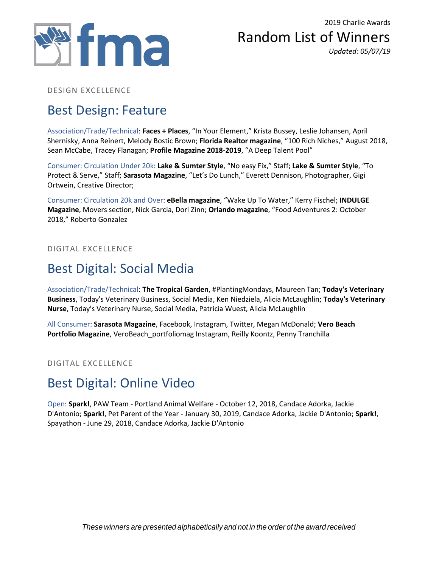

Random List of Winners *Updated: 05/07/19*

#### DESIGN EXCELLENCE

### Best Design: Feature

Association/Trade/Technical: **Faces + Places**, "In Your Element," Krista Bussey, Leslie Johansen, April Shernisky, Anna Reinert, Melody Bostic Brown; **Florida Realtor magazine**, "100 Rich Niches," August 2018, Sean McCabe, Tracey Flanagan; **Profile Magazine 2018-2019**, "A Deep Talent Pool"

Consumer: Circulation Under 20k: **Lake & Sumter Style**, "No easy Fix," Staff; **Lake & Sumter Style**, "To Protect & Serve," Staff; **Sarasota Magazine**, "Let's Do Lunch," Everett Dennison, Photographer, Gigi Ortwein, Creative Director;

Consumer: Circulation 20k and Over: **eBella magazine**, "Wake Up To Water," Kerry Fischel; **INDULGE Magazine**, Movers section, Nick Garcia, Dori Zinn; **Orlando magazine**, "Food Adventures 2: October 2018," Roberto Gonzalez

DIGITAL EXCELLENCE

### Best Digital: Social Media

Association/Trade/Technical: **The Tropical Garden**, #PlantingMondays, Maureen Tan; **Today's Veterinary Business**, Today's Veterinary Business, Social Media, Ken Niedziela, Alicia McLaughlin; **Today's Veterinary Nurse**, Today's Veterinary Nurse, Social Media, Patricia Wuest, Alicia McLaughlin

All Consumer: **Sarasota Magazine**, Facebook, Instagram, Twitter, Megan McDonald; **Vero Beach Portfolio Magazine**, VeroBeach\_portfoliomag Instagram, Reilly Koontz, Penny Tranchilla

#### DIGITAL EXCELLENCE

# Best Digital: Online Video

Open: **Spark!**, PAW Team - Portland Animal Welfare - October 12, 2018, Candace Adorka, Jackie D'Antonio; **Spark!**, Pet Parent of the Year - January 30, 2019, Candace Adorka, Jackie D'Antonio; **Spark!**, Spayathon - June 29, 2018, Candace Adorka, Jackie D'Antonio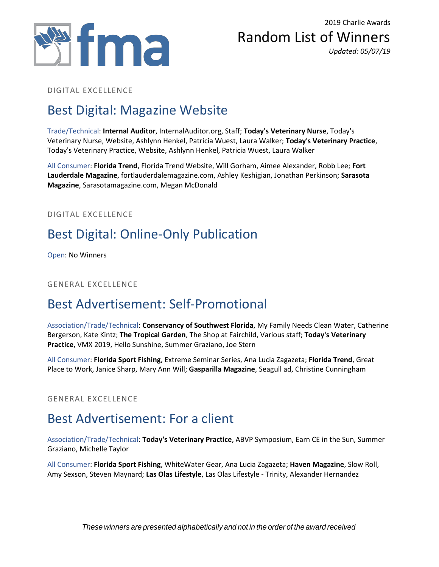



#### DIGITAL EXCELLENCE

# Best Digital: Magazine Website

Trade/Technical: **Internal Auditor**, InternalAuditor.org, Staff; **Today's Veterinary Nurse**, Today's Veterinary Nurse, Website, Ashlynn Henkel, Patricia Wuest, Laura Walker; **Today's Veterinary Practice**, Today's Veterinary Practice, Website, Ashlynn Henkel, Patricia Wuest, Laura Walker

All Consumer: **Florida Trend**, Florida Trend Website, Will Gorham, Aimee Alexander, Robb Lee; **Fort Lauderdale Magazine**, fortlauderdalemagazine.com, Ashley Keshigian, Jonathan Perkinson; **Sarasota Magazine**, Sarasotamagazine.com, Megan McDonald

DIGITAL EXCELLENCE

# Best Digital: Online-Only Publication

Open: No Winners

GENERAL EXCELLENCE

# Best Advertisement: Self-Promotional

Association/Trade/Technical: **Conservancy of Southwest Florida**, My Family Needs Clean Water, Catherine Bergerson, Kate Kintz; **The Tropical Garden**, The Shop at Fairchild, Various staff; **Today's Veterinary Practice**, VMX 2019, Hello Sunshine, Summer Graziano, Joe Stern

All Consumer: **Florida Sport Fishing**, Extreme Seminar Series, Ana Lucia Zagazeta; **Florida Trend**, Great Place to Work, Janice Sharp, Mary Ann Will; **Gasparilla Magazine**, Seagull ad, Christine Cunningham

GENERAL EXCELLENCE

# Best Advertisement: For a client

Association/Trade/Technical: **Today's Veterinary Practice**, ABVP Symposium, Earn CE in the Sun, Summer Graziano, Michelle Taylor

All Consumer: **Florida Sport Fishing**, WhiteWater Gear, Ana Lucia Zagazeta; **Haven Magazine**, Slow Roll, Amy Sexson, Steven Maynard; **Las Olas Lifestyle**, Las Olas Lifestyle - Trinity, Alexander Hernandez

*These winners are presented alphabetically and not in the order of the award received*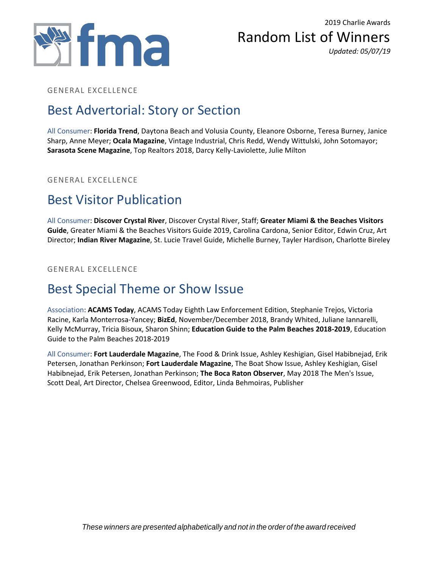



#### GENERAL EXCELLENCE

### Best Advertorial: Story or Section

All Consumer: **Florida Trend**, Daytona Beach and Volusia County, Eleanore Osborne, Teresa Burney, Janice Sharp, Anne Meyer; **Ocala Magazine**, Vintage Industrial, Chris Redd, Wendy Wittulski, John Sotomayor; **Sarasota Scene Magazine**, Top Realtors 2018, Darcy Kelly-Laviolette, Julie Milton

#### GENERAL EXCELLENCE

#### Best Visitor Publication

All Consumer: **Discover Crystal River**, Discover Crystal River, Staff; **Greater Miami & the Beaches Visitors Guide**, Greater Miami & the Beaches Visitors Guide 2019, Carolina Cardona, Senior Editor, Edwin Cruz, Art Director; **Indian River Magazine**, St. Lucie Travel Guide, Michelle Burney, Tayler Hardison, Charlotte Bireley

GENERAL EXCELLENCE

## Best Special Theme or Show Issue

Association: **ACAMS Today**, ACAMS Today Eighth Law Enforcement Edition, Stephanie Trejos, Victoria Racine, Karla Monterrosa-Yancey; **BizEd**, November/December 2018, Brandy Whited, Juliane Iannarelli, Kelly McMurray, Tricia Bisoux, Sharon Shinn; **Education Guide to the Palm Beaches 2018-2019**, Education Guide to the Palm Beaches 2018-2019

All Consumer: **Fort Lauderdale Magazine**, The Food & Drink Issue, Ashley Keshigian, Gisel Habibnejad, Erik Petersen, Jonathan Perkinson; **Fort Lauderdale Magazine**, The Boat Show Issue, Ashley Keshigian, Gisel Habibnejad, Erik Petersen, Jonathan Perkinson; **The Boca Raton Observer**, May 2018 The Men's Issue, Scott Deal, Art Director, Chelsea Greenwood, Editor, Linda Behmoiras, Publisher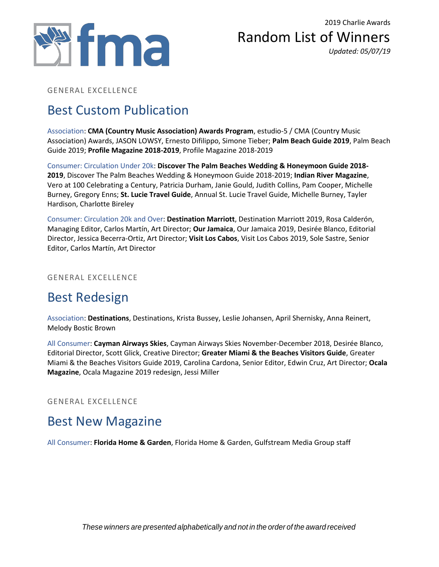

Random List of Winners *Updated: 05/07/19*

GENERAL EXCELLENCE

# Best Custom Publication

Association: **CMA (Country Music Association) Awards Program**, estudio-5 / CMA (Country Music Association) Awards, JASON LOWSY, Ernesto Difilippo, Simone Tieber; **Palm Beach Guide 2019**, Palm Beach Guide 2019; **Profile Magazine 2018-2019**, Profile Magazine 2018-2019

Consumer: Circulation Under 20k: **Discover The Palm Beaches Wedding & Honeymoon Guide 2018- 2019**, Discover The Palm Beaches Wedding & Honeymoon Guide 2018-2019; **Indian River Magazine**, Vero at 100 Celebrating a Century, Patricia Durham, Janie Gould, Judith Collins, Pam Cooper, Michelle Burney, Gregory Enns; **St. Lucie Travel Guide**, Annual St. Lucie Travel Guide, Michelle Burney, Tayler Hardison, Charlotte Bireley

Consumer: Circulation 20k and Over: **Destination Marriott**, Destination Marriott 2019, Rosa Calderón, Managing Editor, Carlos Martín, Art Director; **Our Jamaica**, Our Jamaica 2019, Desirée Blanco, Editorial Director, Jessica Becerra-Ortiz, Art Director; **Visit Los Cabos**, Visit Los Cabos 2019, Sole Sastre, Senior Editor, Carlos Martín, Art Director

GENERAL EXCELLENCE

# Best Redesign

Association: **Destinations**, Destinations, Krista Bussey, Leslie Johansen, April Shernisky, Anna Reinert, Melody Bostic Brown

All Consumer: **Cayman Airways Skies**, Cayman Airways Skies November-December 2018, Desirée Blanco, Editorial Director, Scott Glick, Creative Director; **Greater Miami & the Beaches Visitors Guide**, Greater Miami & the Beaches Visitors Guide 2019, Carolina Cardona, Senior Editor, Edwin Cruz, Art Director; **Ocala Magazine**, Ocala Magazine 2019 redesign, Jessi Miller

GENERAL EXCELLENCE

### Best New Magazine

All Consumer: **Florida Home & Garden**, Florida Home & Garden, Gulfstream Media Group staff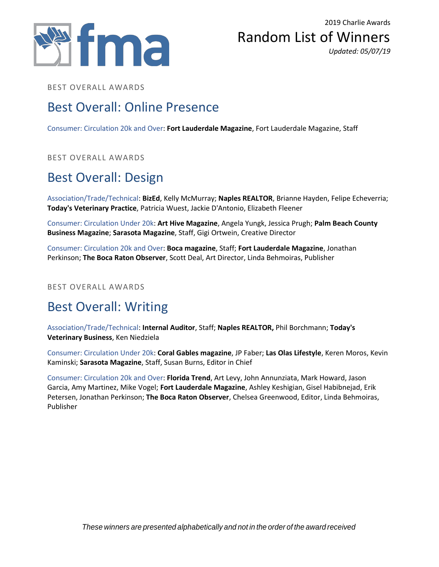



BEST OVERALL AWARDS

#### Best Overall: Online Presence

Consumer: Circulation 20k and Over: **Fort Lauderdale Magazine**, Fort Lauderdale Magazine, Staff

BEST OVERALL AWARDS

# Best Overall: Design

Association/Trade/Technical: **BizEd**, Kelly McMurray; **Naples REALTOR**, Brianne Hayden, Felipe Echeverria; **Today's Veterinary Practice**, Patricia Wuest, Jackie D'Antonio, Elizabeth Fleener

Consumer: Circulation Under 20k: **Art Hive Magazine**, Angela Yungk, Jessica Prugh; **Palm Beach County Business Magazine**; **Sarasota Magazine**, Staff, Gigi Ortwein, Creative Director

Consumer: Circulation 20k and Over: **Boca magazine**, Staff; **Fort Lauderdale Magazine**, Jonathan Perkinson; **The Boca Raton Observer**, Scott Deal, Art Director, Linda Behmoiras, Publisher

BEST OVERALL AWARDS

# Best Overall: Writing

Association/Trade/Technical: **Internal Auditor**, Staff; **Naples REALTOR,** Phil Borchmann; **Today's Veterinary Business**, Ken Niedziela

Consumer: Circulation Under 20k: **Coral Gables magazine**, JP Faber; **Las Olas Lifestyle**, Keren Moros, Kevin Kaminski; **Sarasota Magazine**, Staff, Susan Burns, Editor in Chief

Consumer: Circulation 20k and Over: **Florida Trend**, Art Levy, John Annunziata, Mark Howard, Jason Garcia, Amy Martinez, Mike Vogel; **Fort Lauderdale Magazine**, Ashley Keshigian, Gisel Habibnejad, Erik Petersen, Jonathan Perkinson; **The Boca Raton Observer**, Chelsea Greenwood, Editor, Linda Behmoiras, Publisher